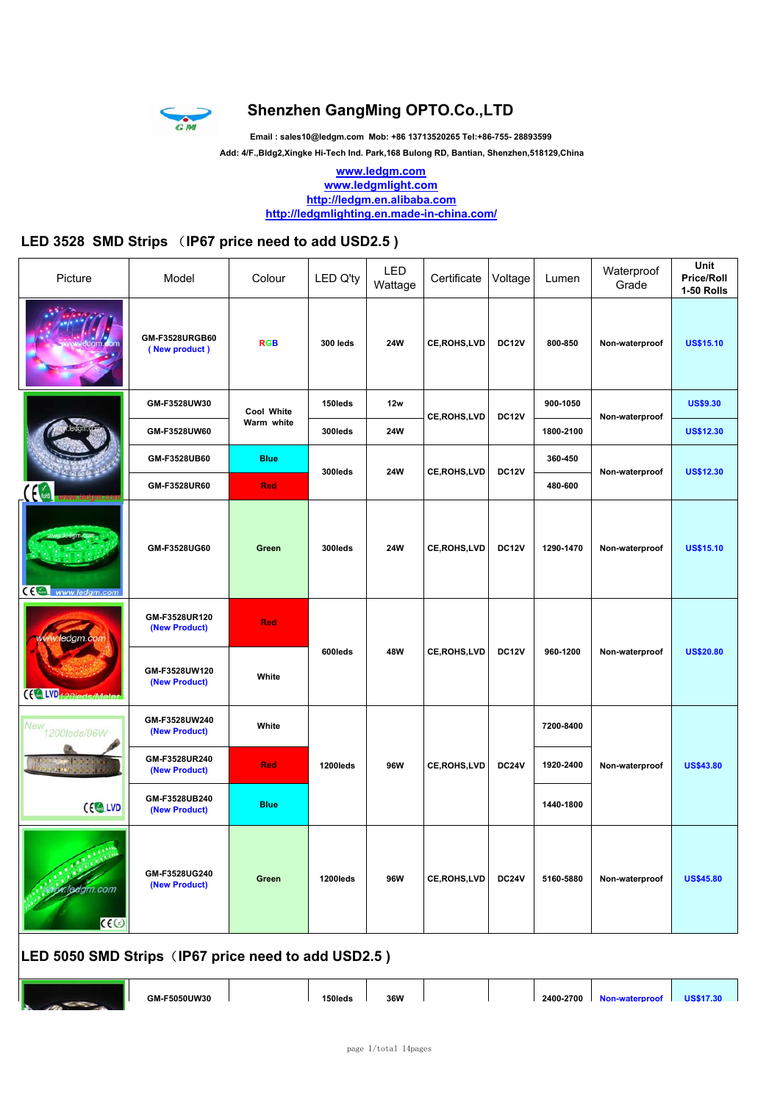

### **Shenzhen GangMing OPTO.Co.,LTD**

**Email : sales10@ledgm.com Mob: +86 13713520265 Tel:+86-755- 28893599**

 **Add: 4/F.,Bldg2,Xingke Hi-Tech Ind. Park,168 Bulong RD, Bantian, Shenzhen,518129,China**

**www.ledgm.com www.ledgmlight.com http://ledgm.en.alibaba.com http://ledgmlighting.en.made-in-china.com/**

#### **LED 3528 SMD Strips** (**IP67 price need to add USD2.5 )**

| Picture                 | Model                           | Colour      | LED Q'ty | LED<br>Wattage | Certificate        | Voltage            | Lumen     | Waterproof<br>Grade | Unit<br><b>Price/Roll</b><br>1-50 Rolls |
|-------------------------|---------------------------------|-------------|----------|----------------|--------------------|--------------------|-----------|---------------------|-----------------------------------------|
|                         | GM-F3528URGB60<br>(New product) | <b>RGB</b>  | 300 leds | <b>24W</b>     | CE, ROHS, LVD      | <b>DC12V</b>       | 800-850   | Non-waterproof      | <b>US\$15.10</b>                        |
|                         | GM-F3528UW30                    | Cool White  | 150leds  | 12w            |                    | <b>DC12V</b>       | 900-1050  |                     | <b>US\$9.30</b>                         |
|                         | GM-F3528UW60                    | Warm white  | 300leds  | <b>24W</b>     |                    | <b>CE,ROHS,LVD</b> | 1800-2100 | Non-waterproof      | <b>US\$12.30</b>                        |
|                         | GM-F3528UB60                    | <b>Blue</b> | 300leds  | <b>24W</b>     | CE, ROHS, LVD      | <b>DC12V</b>       | 360-450   | Non-waterproof      | <b>US\$12.30</b>                        |
|                         | GM-F3528UR60                    | <b>Red</b>  |          |                |                    |                    | 480-600   |                     |                                         |
| CE<br>www.ledgm.com     | GM-F3528UG60                    | Green       | 300leds  | <b>24W</b>     | CE, ROHS, LVD      | <b>DC12V</b>       | 1290-1470 | Non-waterproof      | <b>US\$15.10</b>                        |
| ledgm.co                | GM-F3528UR120<br>(New Product)  | Red         |          |                |                    |                    |           |                     |                                         |
| $(C^{\text{LVD}}_{42})$ | GM-F3528UW120<br>(New Product)  | White       | 600leds  | 48W            | <b>CE,ROHS,LVD</b> | <b>DC12V</b>       | 960-1200  | Non-waterproof      | <b>US\$20.80</b>                        |
| New<br>1200leds/96W     | GM-F3528UW240<br>(New Product)  | White       |          |                |                    |                    | 7200-8400 |                     |                                         |
|                         | GM-F3528UR240<br>(New Product)  | <b>Red</b>  | 1200leds | 96W            | CE, ROHS, LVD      | <b>DC24V</b>       | 1920-2400 | Non-waterproof      | <b>US\$43.80</b>                        |
| $CE$ LVD                | GM-F3528UB240<br>(New Product)  | <b>Blue</b> |          |                |                    |                    | 1440-1800 |                     |                                         |
| r.leagm.com<br>CC       | GM-F3528UG240<br>(New Product)  | Green       | 1200leds | 96W            | CE, ROHS, LVD      | <b>DC24V</b>       | 5160-5880 | Non-waterproof      | <b>US\$45.80</b>                        |



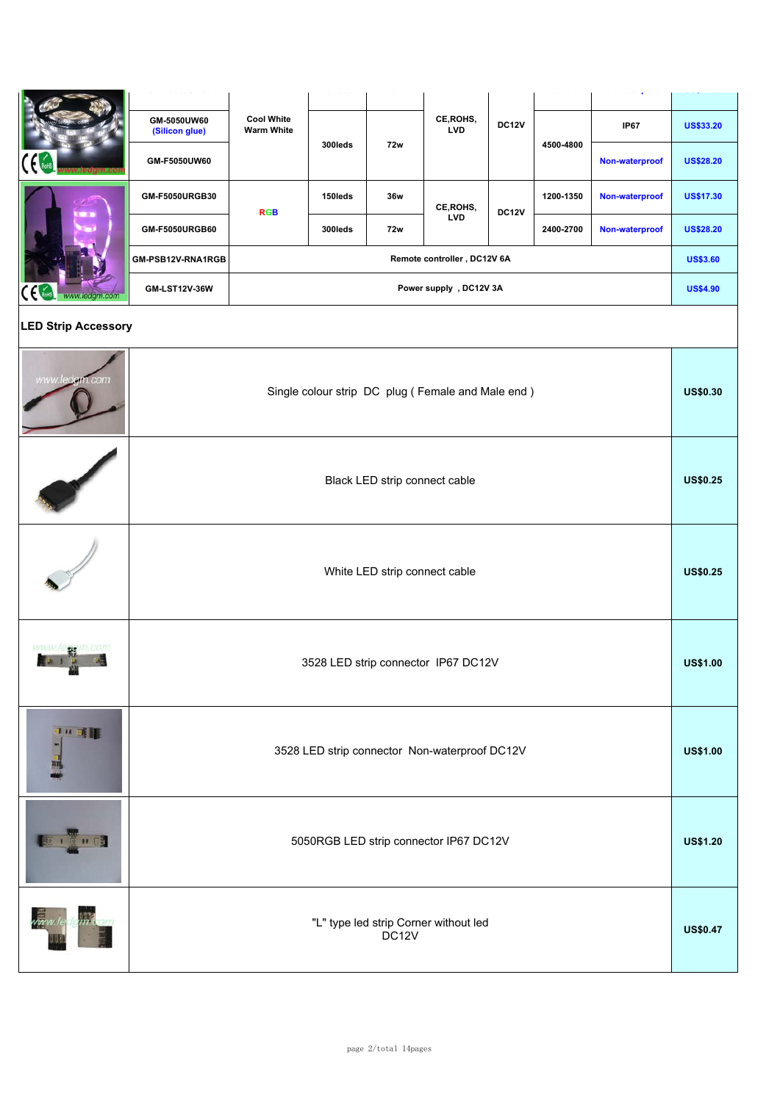|                             |                               |                                                                  |         | ---                           |                                                   |              |           |                |                  |
|-----------------------------|-------------------------------|------------------------------------------------------------------|---------|-------------------------------|---------------------------------------------------|--------------|-----------|----------------|------------------|
|                             | GM-5050UW60<br>(Silicon glue) | <b>Cool White</b><br><b>Warm White</b>                           |         |                               | CE, ROHS,<br><b>LVD</b>                           | <b>DC12V</b> |           | <b>IP67</b>    | <b>US\$33.20</b> |
|                             | GM-F5050UW60                  |                                                                  | 300leds | <b>72w</b>                    |                                                   |              | 4500-4800 | Non-waterproof | <b>US\$28.20</b> |
|                             | GM-F5050URGB30                | <b>RGB</b>                                                       | 150leds | 36w                           | CE, ROHS,                                         | <b>DC12V</b> | 1200-1350 | Non-waterproof | <b>US\$17.30</b> |
|                             | GM-F5050URGB60                |                                                                  | 300leds | 72w                           | <b>LVD</b>                                        |              | 2400-2700 | Non-waterproof | <b>US\$28.20</b> |
|                             | GM-PSB12V-RNA1RGB             |                                                                  |         |                               | Remote controller, DC12V 6A                       |              |           |                | <b>US\$3.60</b>  |
| $\epsilon$<br>www.ledgm.com | GM-LST12V-36W                 |                                                                  |         |                               | Power supply, DC12V 3A                            |              |           |                | <b>US\$4.90</b>  |
| <b>LED Strip Accessory</b>  |                               |                                                                  |         |                               |                                                   |              |           |                |                  |
| www.ledgm.com               |                               |                                                                  |         |                               | Single colour strip DC plug (Female and Male end) |              |           |                | <b>US\$0.30</b>  |
|                             |                               |                                                                  |         | Black LED strip connect cable |                                                   |              |           |                | <b>US\$0.25</b>  |
|                             |                               |                                                                  |         | White LED strip connect cable |                                                   |              |           |                | <b>US\$0.25</b>  |
|                             |                               |                                                                  |         |                               | 3528 LED strip connector IP67 DC12V               |              |           |                | <b>US\$1.00</b>  |
| 10 或量                       |                               | 3528 LED strip connector Non-waterproof DC12V<br><b>US\$1.00</b> |         |                               |                                                   |              |           |                |                  |
| 101010                      |                               | 5050RGB LED strip connector IP67 DC12V<br><b>US\$1.20</b>        |         |                               |                                                   |              |           |                |                  |
|                             |                               |                                                                  |         | DC <sub>12V</sub>             | "L" type led strip Corner without led             |              |           |                | <b>US\$0.47</b>  |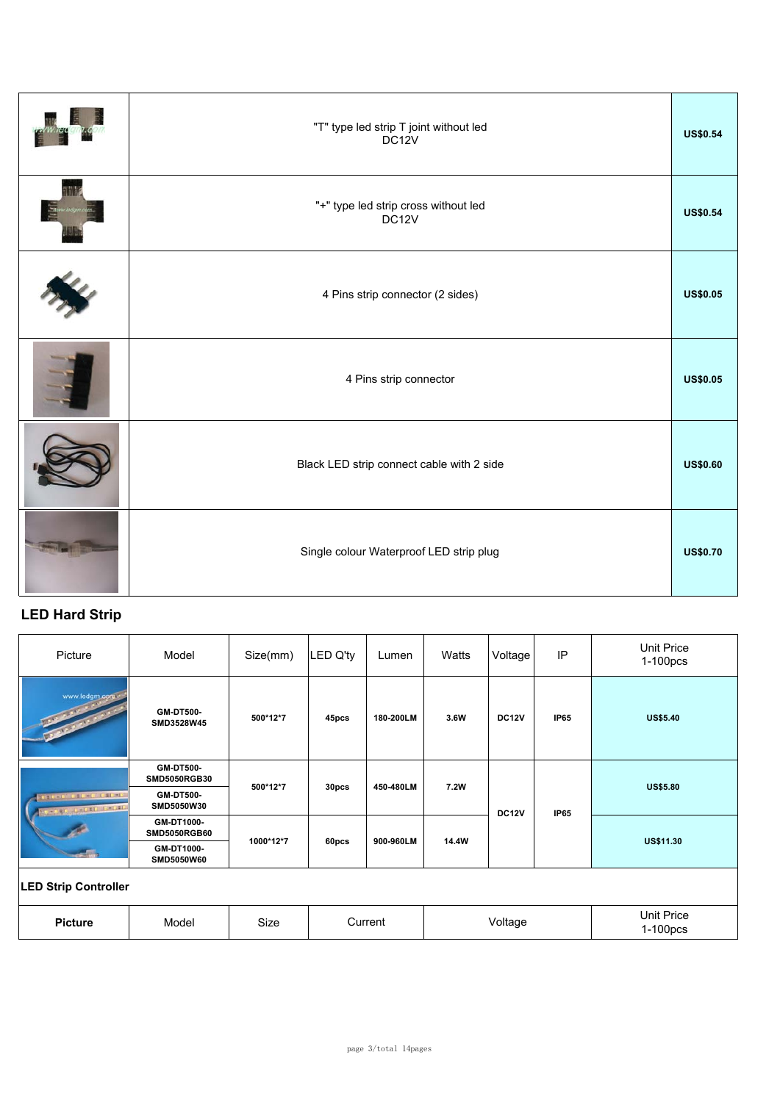| "T" type led strip T joint without led<br>DC <sub>12V</sub> | <b>US\$0.54</b> |
|-------------------------------------------------------------|-----------------|
| "+" type led strip cross without led<br>DC12V               | <b>US\$0.54</b> |
| 4 Pins strip connector (2 sides)                            | <b>US\$0.05</b> |
| 4 Pins strip connector                                      | <b>US\$0.05</b> |
| Black LED strip connect cable with 2 side                   | <b>US\$0.60</b> |
| Single colour Waterproof LED strip plug                     | <b>US\$0.70</b> |

### **LED Hard Strip**

| Picture                                                                                                                                                                                                                                               | Model                                   | Size(mm)  | <b>LED Q'ty</b> | Lumen     | Watts | Voltage      | IP          | <b>Unit Price</b><br>1-100pcs |
|-------------------------------------------------------------------------------------------------------------------------------------------------------------------------------------------------------------------------------------------------------|-----------------------------------------|-----------|-----------------|-----------|-------|--------------|-------------|-------------------------------|
| www.ledgm.com<br><b>Contract Contract Contract Contract Contract Contract Contract Contract Contract Contract Contract Contract Contract Contract Contract Contract Contract Contract Contract Contract Contract Contract Contract Contract Contr</b> | <b>GM-DT500-</b><br>SMD3528W45          | 500*12*7  | 45pcs           | 180-200LM | 3.6W  | <b>DC12V</b> | <b>IP65</b> | <b>US\$5.40</b>               |
|                                                                                                                                                                                                                                                       | <b>GM-DT500-</b><br><b>SMD5050RGB30</b> | 500*12*7  | 30pcs           | 450-480LM | 7.2W  |              |             | <b>US\$5.80</b>               |
| <b>LED BELLE CELLER</b><br><b>NET DELLE PERIS</b>                                                                                                                                                                                                     | <b>GM-DT500-</b><br>SMD5050W30          |           |                 |           |       | <b>DC12V</b> | <b>IP65</b> |                               |
|                                                                                                                                                                                                                                                       | GM-DT1000-<br><b>SMD5050RGB60</b>       | 1000*12*7 |                 | 900-960LM | 14.4W |              |             | <b>US\$11.30</b>              |
|                                                                                                                                                                                                                                                       | GM-DT1000-<br>SMD5050W60                |           | 60pcs           |           |       |              |             |                               |
| <b>LED Strip Controller</b>                                                                                                                                                                                                                           |                                         |           |                 |           |       |              |             |                               |
| <b>Picture</b>                                                                                                                                                                                                                                        | Model                                   | Size      |                 | Current   |       | Voltage      |             | <b>Unit Price</b><br>1-100pcs |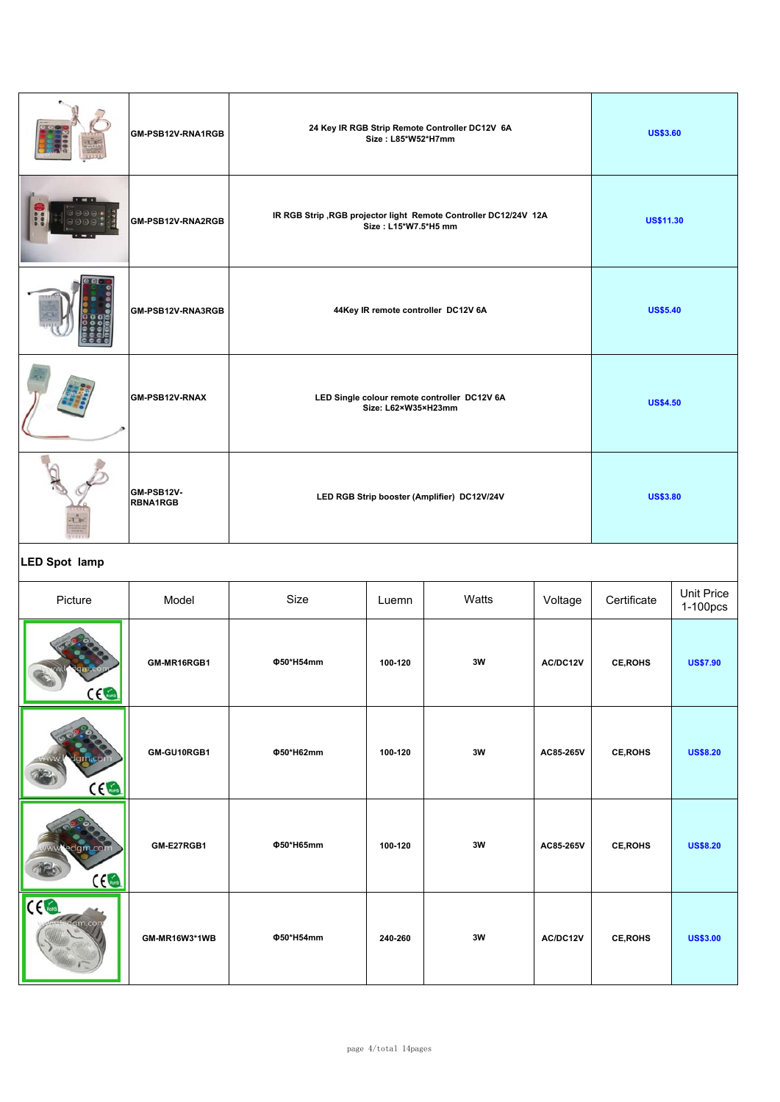| 花形 | GM-PSB12V-<br><b>RBNA1RGB</b> | LED RGB Strip booster (Amplifier) DC12V/24V                                               | <b>US\$3.80</b>  |
|----|-------------------------------|-------------------------------------------------------------------------------------------|------------------|
|    | GM-PSB12V-RNAX                | LED Single colour remote controller DC12V 6A<br>Size: L62×W35×H23mm                       | <b>US\$4.50</b>  |
|    | GM-PSB12V-RNA3RGB             | 44Key IR remote controller DC12V 6A                                                       | <b>US\$5.40</b>  |
|    | GM-PSB12V-RNA2RGB             | IR RGB Strip , RGB projector light Remote Controller DC12/24V 12A<br>Size: L15*W7.5*H5 mm | <b>US\$11.30</b> |
|    | GM-PSB12V-RNA1RGB             | 24 Key IR RGB Strip Remote Controller DC12V 6A<br>Size: L85*W52*H7mm                      | <b>US\$3.60</b>  |

## **LED Spot lamp**

| Picture                           | Model         | Size      | Luemn   | Watts | Voltage   | Certificate     | <b>Unit Price</b><br>1-100pcs |
|-----------------------------------|---------------|-----------|---------|-------|-----------|-----------------|-------------------------------|
| ce                                | GM-MR16RGB1   | Φ50*H54mm | 100-120 | 3W    | AC/DC12V  | CE, ROHS        | <b>US\$7.90</b>               |
| dam.com<br>CE                     | GM-GU10RGB1   | Φ50*H62mm | 100-120 | 3W    | AC85-265V | <b>CE, ROHS</b> | <b>US\$8.20</b>               |
| www.edgm.com<br>ce                | GM-E27RGB1    | Φ50*H65mm | 100-120 | 3W    | AC85-265V | CE, ROHS        | <b>US\$8.20</b>               |
| CC <sub>6</sub><br><b>Com.com</b> | GM-MR16W3*1WB | Φ50*H54mm | 240-260 | 3W    | AC/DC12V  | CE, ROHS        | <b>US\$3.00</b>               |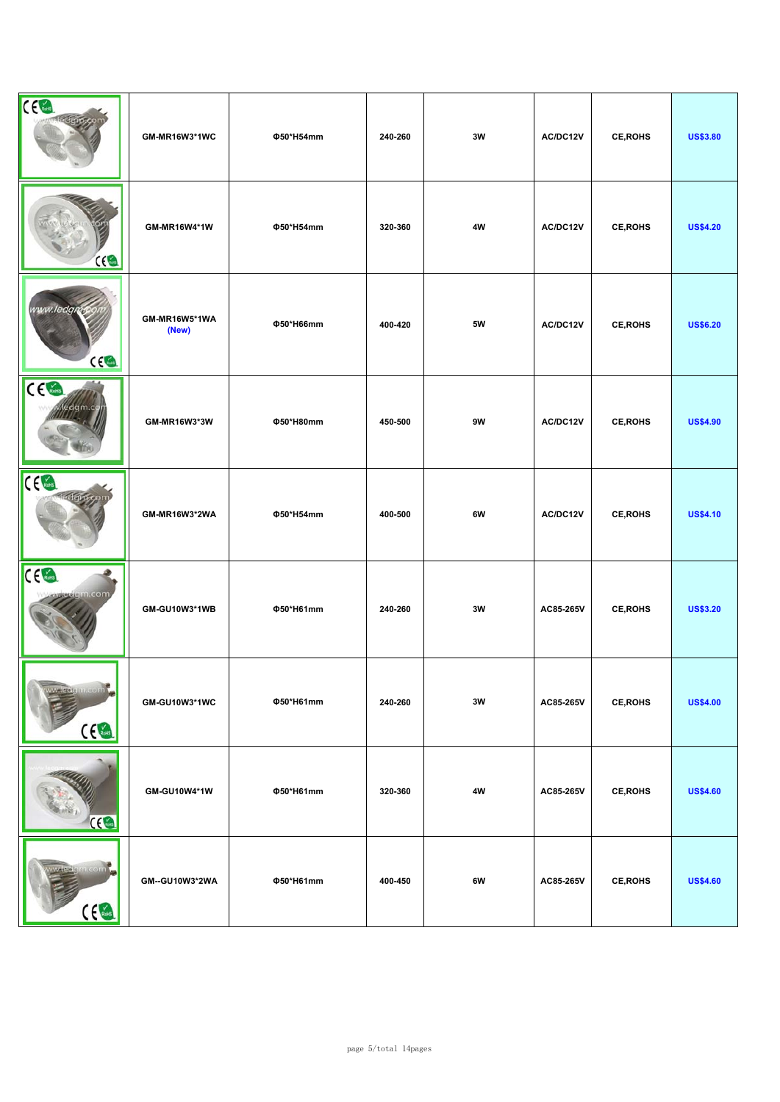| CE                             | GM-MR16W3*1WC          | Φ50*H54mm | 240-260 | 3W            | AC/DC12V  | CE, ROHS        | <b>US\$3.80</b> |
|--------------------------------|------------------------|-----------|---------|---------------|-----------|-----------------|-----------------|
| $rac{1}{2}$                    | GM-MR16W4*1W           | Φ50*H54mm | 320-360 | 4W            | AC/DC12V  | <b>CE, ROHS</b> | <b>US\$4.20</b> |
| www.ledgm<br>ce                | GM-MR16W5*1WA<br>(New) | Φ50*H66mm | 400-420 | 5W            | AC/DC12V  | CE, ROHS        | <b>US\$6.20</b> |
| $C \in \mathbb{R}$<br>edgm.cj  | GM-MR16W3*3W           | Φ50*H80mm | 450-500 | 9W            | AC/DC12V  | <b>CE, ROHS</b> | <b>US\$4.90</b> |
| CE                             | GM-MR16W3*2WA          | Φ50*H54mm | 400-500 | 6W            | AC/DC12V  | <b>CE, ROHS</b> | <b>US\$4.10</b> |
| ce<br>rdgm.com                 | GM-GU10W3*1WB          | Φ50*H61mm | 240-260 | 3W            | AC85-265V | <b>CE, ROHS</b> | <b>US\$3.20</b> |
| wiedemoom<br>$C_{\text{Robs}}$ | GM-GU10W3*1WC          | Φ50*H61mm | 240-260 | $3\mathsf{W}$ | AC85-265V | CE, ROHS        | <b>US\$4.00</b> |
| $\overline{\mathcal{C}}$       | GM-GU10W4*1W           | Φ50*H61mm | 320-360 | $4\mathsf{W}$ | AC85-265V | <b>CE, ROHS</b> | <b>US\$4.60</b> |
| wiere en com<br>C <sub>6</sub> | GM--GU10W3*2WA         | Φ50*H61mm | 400-450 | 6W            | AC85-265V | CE, ROHS        | <b>US\$4.60</b> |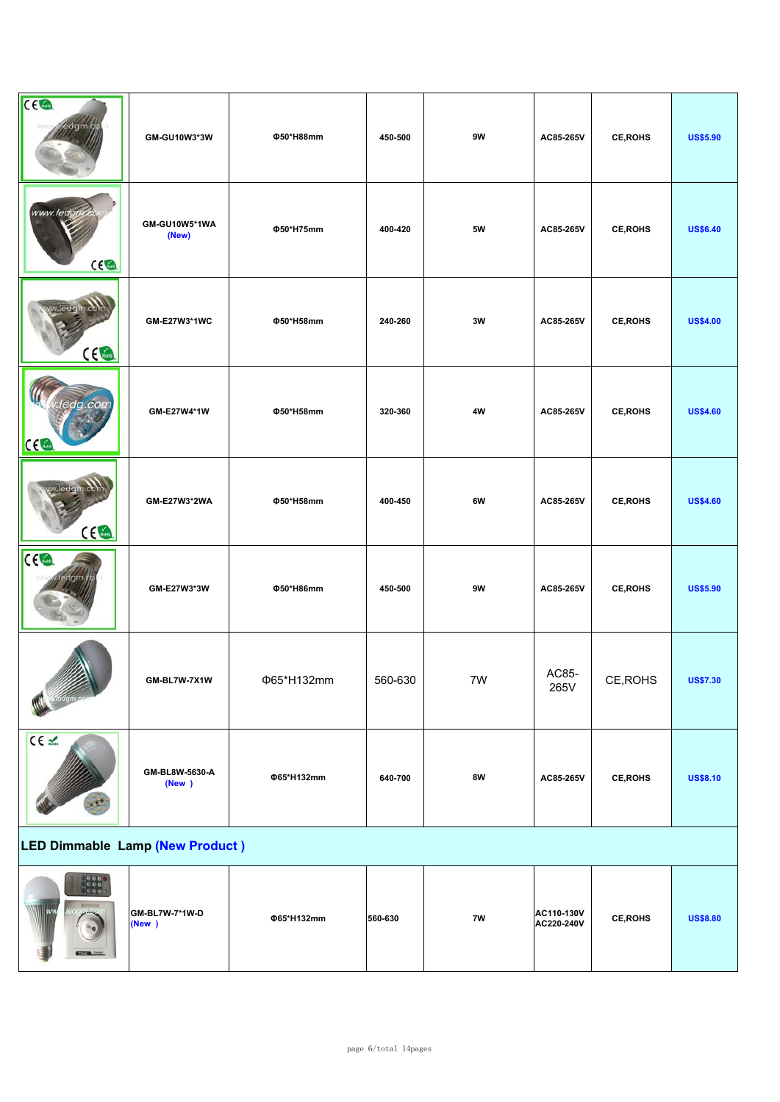| <b>CEGL</b>                                                         | GM-GU10W3*3W             | Φ50*H88mm  | 450-500 | 9W            | AC85-265V                | CE, ROHS        | <b>US\$5.90</b> |
|---------------------------------------------------------------------|--------------------------|------------|---------|---------------|--------------------------|-----------------|-----------------|
| www.ledgo<br>CC                                                     | GM-GU10W5*1WA<br>(New)   | Φ50*H75mm  | 400-420 | $5\mathsf{W}$ | AC85-265V                | CE, ROHS        | <b>US\$6.40</b> |
| ce                                                                  | GM-E27W3*1WC             | Φ50*H58mm  | 240-260 | 3W            | AC85-265V                | <b>CE, ROHS</b> | <b>US\$4.00</b> |
| CC                                                                  | GM-E27W4*1W              | Φ50*H58mm  | 320-360 | 4W            | AC85-265V                | <b>CE, ROHS</b> | <b>US\$4.60</b> |
| $C \in \mathbb{R}$                                                  | GM-E27W3*2WA             | Φ50*H58mm  | 400-450 | 6W            | AC85-265V                | <b>CE, ROHS</b> | <b>US\$4.60</b> |
| CC <sub>6</sub>                                                     | GM-E27W3*3W              | Φ50*H86mm  | 450-500 | 9W            | AC85-265V                | CE, ROHS        | <b>US\$5.90</b> |
|                                                                     | GM-BL7W-7X1W             | Φ65*H132mm | 560-630 | 7W            | AC85-<br>265V            | CE, ROHS        | <b>US\$7.30</b> |
| CE L                                                                | GM-BL8W-5630-A<br>(New ) | Φ65*H132mm | 640-700 | 8W            | AC85-265V                | CE, ROHS        | <b>US\$8.10</b> |
| LED Dimmable Lamp (New Product)                                     |                          |            |         |               |                          |                 |                 |
| $\begin{bmatrix} 0 & 0 & 0 \\ 0 & 0 & 0 \\ 0 & 0 & 0 \end{bmatrix}$ | GM-BL7W-7*1W-D<br>(New ) | Φ65*H132mm | 560-630 | 7W            | AC110-130V<br>AC220-240V | CE, ROHS        | <b>US\$8.80</b> |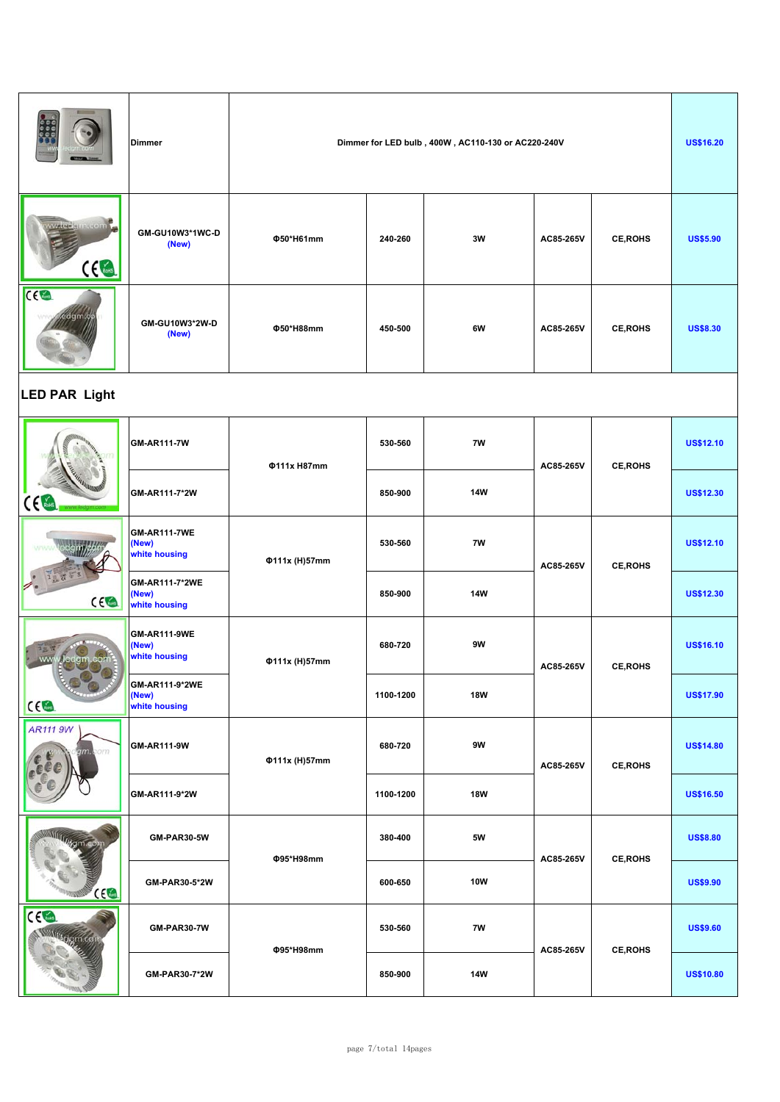|                                             | <b>Dimmer</b>                                 |                    | Dimmer for LED bulb, 400W, AC110-130 or AC220-240V |               |           |                 |                  |  |  |
|---------------------------------------------|-----------------------------------------------|--------------------|----------------------------------------------------|---------------|-----------|-----------------|------------------|--|--|
| <b>Map</b> de la Trad<br>$c \in \mathbb{R}$ | GM-GU10W3*1WC-D<br>(New)                      | Φ50*H61mm          | 240-260                                            | 3W            | AC85-265V | <b>CE, ROHS</b> | <b>US\$5.90</b>  |  |  |
| CC <sub>6</sub><br>dam                      | GM-GU10W3*2W-D<br>(New)                       | Φ50*H88mm          | 450-500                                            | 6W            | AC85-265V | <b>CE, ROHS</b> | <b>US\$8.30</b>  |  |  |
| <b>LED PAR Light</b>                        |                                               |                    |                                                    |               |           |                 |                  |  |  |
|                                             | <b>GM-AR111-7W</b>                            | <b>Φ111x H87mm</b> | 530-560                                            | 7W            | AC85-265V | <b>CE, ROHS</b> | <b>US\$12.10</b> |  |  |
|                                             | GM-AR111-7*2W                                 |                    | 850-900                                            | <b>14W</b>    |           |                 | <b>US\$12.30</b> |  |  |
|                                             | <b>GM-AR111-7WE</b><br>(New)<br>white housing | Φ111x (H)57mm      | 530-560                                            | 7W            | AC85-265V | <b>CE, ROHS</b> | <b>US\$12.10</b> |  |  |
| CE                                          | GM-AR111-7*2WE<br>(New)<br>white housing      |                    | 850-900                                            | <b>14W</b>    |           |                 | <b>US\$12.30</b> |  |  |
| lenn                                        | <b>GM-AR111-9WE</b><br>(New)<br>white housing | Φ111x (H)57mm      | 680-720                                            | 9W            | AC85-265V | <b>CE, ROHS</b> | <b>US\$16.10</b> |  |  |
| <b>CEGA</b>                                 | GM-AR111-9*2WE<br>(New)<br>white housing      |                    | 1100-1200                                          | <b>18W</b>    |           |                 | <b>US\$17.90</b> |  |  |
| <b>AR111 9W</b><br>9 <b>m.c</b> om          | GM-AR111-9W                                   | Φ111x (H)57mm      | 680-720                                            | $9\mathrm{W}$ | AC85-265V | <b>CE, ROHS</b> | <b>US\$14.80</b> |  |  |
|                                             | GM-AR111-9*2W                                 |                    | 1100-1200                                          | <b>18W</b>    |           |                 | <b>US\$16.50</b> |  |  |
|                                             | GM-PAR30-5W                                   |                    | 380-400                                            | $5\mathsf{W}$ |           |                 | <b>US\$8.80</b>  |  |  |
| C(1)                                        | GM-PAR30-5*2W                                 | Φ95*H98mm          | 600-650                                            | <b>10W</b>    | AC85-265V | CE, ROHS        | <b>US\$9.90</b>  |  |  |
| CE<br>ugm.col                               | <b>GM-PAR30-7W</b>                            |                    | 530-560                                            | $7\mathsf{W}$ |           |                 | <b>US\$9.60</b>  |  |  |
|                                             | GM-PAR30-7*2W                                 | Φ95*H98mm          | 850-900                                            | <b>14W</b>    | AC85-265V | <b>CE, ROHS</b> | <b>US\$10.80</b> |  |  |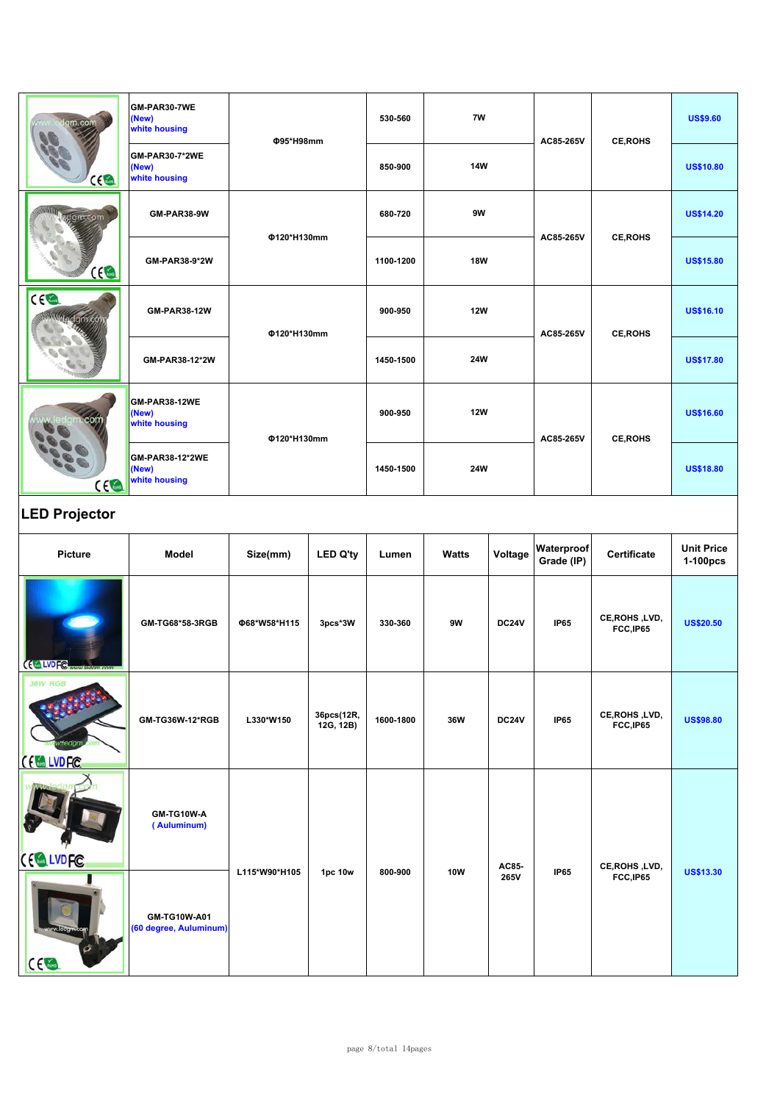| Igm.com              | GM-PAR30-7WE<br>(New)<br>white housing    |                             |                         |           | 7W           |              |                          |                            | <b>US\$9.60</b>               |
|----------------------|-------------------------------------------|-----------------------------|-------------------------|-----------|--------------|--------------|--------------------------|----------------------------|-------------------------------|
| ce                   | GM-PAR30-7*2WE<br>(New)<br>white housing  | Φ95*H98mm                   |                         | 850-900   | <b>14W</b>   |              | AC85-265V                | <b>CE, ROHS</b>            | <b>US\$10.80</b>              |
| edgm.com             | GM-PAR38-9W                               |                             | Φ120*H130mm             |           | 9W           |              |                          |                            | <b>US\$14.20</b>              |
| $\Omega$             | GM-PAR38-9*2W                             |                             |                         | 1100-1200 | <b>18W</b>   |              | AC85-265V                | <b>CE, ROHS</b>            | <b>US\$15.80</b>              |
| CE                   | <b>GM-PAR38-12W</b>                       | Φ120*H130mm                 |                         |           | <b>12W</b>   |              | AC85-265V                | <b>CE, ROHS</b>            | <b>US\$16.10</b>              |
|                      | GM-PAR38-12*2W                            |                             |                         | 1450-1500 | 24W          |              |                          |                            | <b>US\$17.80</b>              |
|                      | GM-PAR38-12WE<br>(New)<br>white housing   | Φ120*H130mm                 |                         | 900-950   | <b>12W</b>   |              | AC85-265V                | <b>CE, ROHS</b>            | <b>US\$16.60</b>              |
| C <sub>6</sub>       | GM-PAR38-12*2WE<br>(New)<br>white housing |                             |                         | 1450-1500 | 24W          |              |                          |                            | <b>US\$18.80</b>              |
| <b>LED Projector</b> |                                           |                             |                         |           |              |              |                          |                            |                               |
|                      |                                           | Size(mm)<br><b>LED Q'ty</b> |                         |           |              |              |                          |                            |                               |
| Picture              | Model                                     |                             |                         | Lumen     | <b>Watts</b> | Voltage      | Waterproof<br>Grade (IP) | Certificate                | <b>Unit Price</b><br>1-100pcs |
| (CLVDFC              | GM-TG68*58-3RGB                           | Φ68*W58*H115                | 3pcs*3W                 | 330-360   | 9W           | <b>DC24V</b> | <b>IP65</b>              | CE, ROHS, LVD,<br>FCC,IP65 | <b>US\$20.50</b>              |
| <b>36W RGB</b>       | GM-TG36W-12*RGB                           | L330*W150                   | 36pcs(12R,<br>12G, 12B) | 1600-1800 | 36W          | <b>DC24V</b> | IP65                     | CE, ROHS, LVD,<br>FCC,IP65 | <b>US\$98.80</b>              |
| CELLVDFC<br>CE LVDFC | GM-TG10W-A<br>(Auluminum)                 | L115*W90*H105               | 1pc 10w                 | 800-900   | <b>10W</b>   | AC85-        | <b>IP65</b>              | CE, ROHS, LVD,             | <b>US\$13.30</b>              |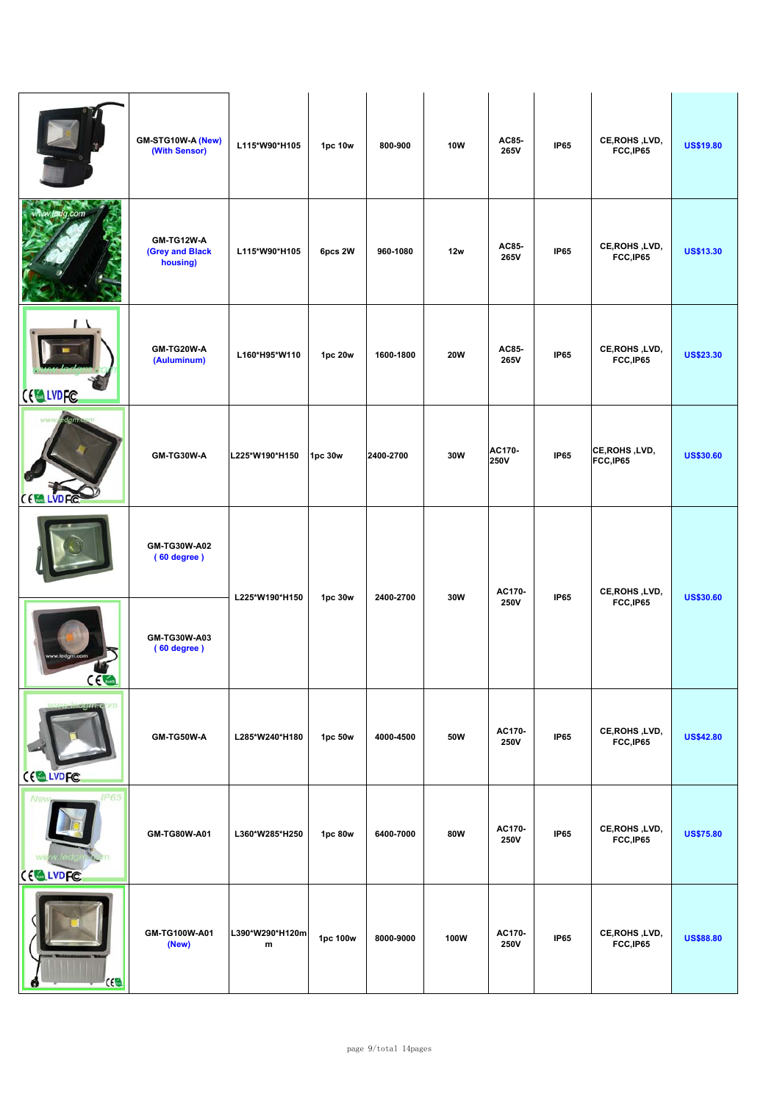|                           | GM-STG10W-A (New)<br>(With Sensor)        | L115*W90*H105        | 1pc 10w  | 800-900   | <b>10W</b> | AC85-<br>265V         | <b>IP65</b> | CE, ROHS, LVD,<br>FCC,IP65  | <b>US\$19.80</b> |
|---------------------------|-------------------------------------------|----------------------|----------|-----------|------------|-----------------------|-------------|-----------------------------|------------------|
| w.ledg.com                | GM-TG12W-A<br>(Grey and Black<br>housing) | L115*W90*H105        | 6pcs 2W  | 960-1080  | 12w        | AC85-<br>265V         | <b>IP65</b> | CE, ROHS, LVD,<br>FCC,IP65  | <b>US\$13.30</b> |
| <b>CELLVDFC</b>           | GM-TG20W-A<br>(Auluminum)                 | L160*H95*W110        | 1pc 20w  | 1600-1800 | <b>20W</b> | AC85-<br>265V         | <b>IP65</b> | CE, ROHS, LVD,<br>FCC, IP65 | <b>US\$23.30</b> |
| <b>CEMPLANDEC</b>         | GM-TG30W-A                                | L225*W190*H150       | 1pc 30w  | 2400-2700 | 30W        | AC170-<br>250V        | <b>IP65</b> | CE, ROHS, LVD,<br>FCC,IP65  | <b>US\$30.60</b> |
|                           | GM-TG30W-A02<br>(60 degree)               | L225*W190*H150       | 1pc 30w  | 2400-2700 | 30W        | AC170-                | <b>IP65</b> | CE, ROHS, LVD,              | <b>US\$30.60</b> |
| $\epsilon$ and $\epsilon$ | GM-TG30W-A03<br>(60 degree)               |                      |          |           |            | <b>250V</b>           |             | FCC, IP65                   |                  |
| m<br>CE LVDFC             | GM-TG50W-A                                | L285*W240*H180       | 1pc 50w  | 4000-4500 | 50W        | AC170-<br><b>250V</b> | <b>IP65</b> | CE, ROHS, LVD,<br>FCC,IP65  | <b>US\$42.80</b> |
| <b>IP65</b><br>CELLVDFC   | GM-TG80W-A01                              | L360*W285*H250       | 1pc 80w  | 6400-7000 | 80W        | AC170-<br><b>250V</b> | <b>IP65</b> | CE, ROHS, LVD,<br>FCC, IP65 | <b>US\$75.80</b> |
| CE                        | GM-TG100W-A01<br>(New)                    | L390*W290*H120m<br>m | 1pc 100w | 8000-9000 | 100W       | AC170-<br><b>250V</b> | <b>IP65</b> | CE, ROHS, LVD,<br>FCC,IP65  | <b>US\$88.80</b> |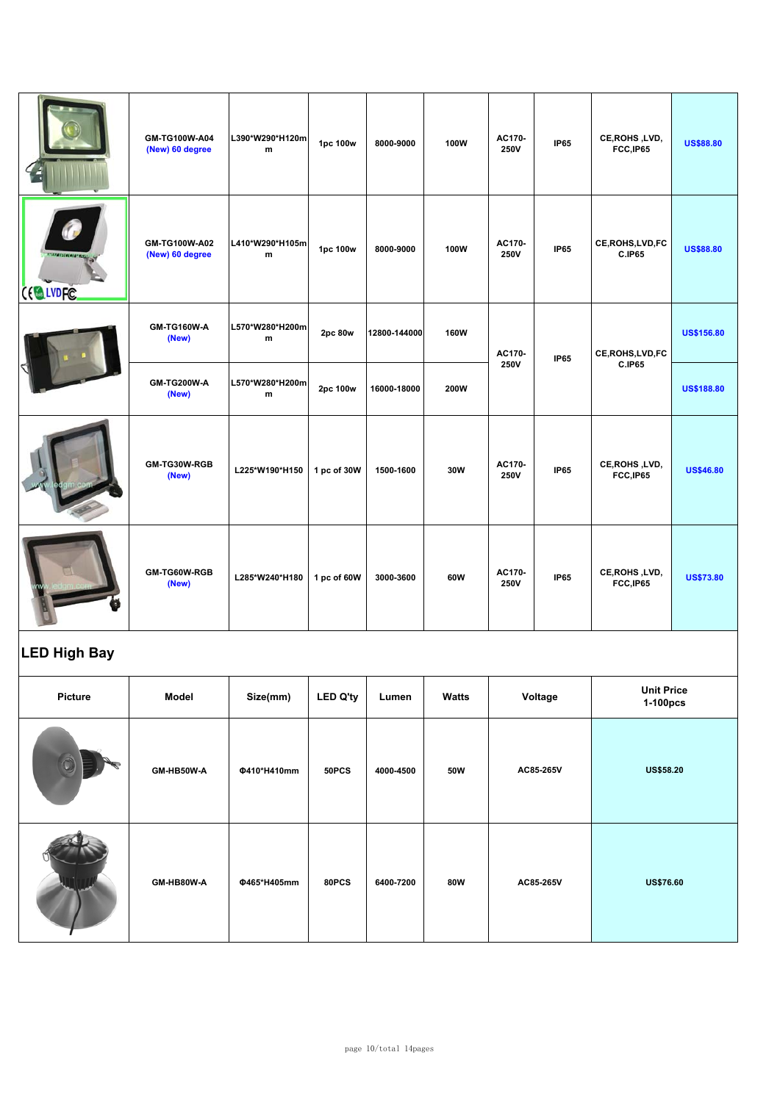|                                  | GM-TG100W-A04<br>(New) 60 degree | L390*W290*H120m<br>m         | 1pc 100w    | 8000-9000    | 100W | AC170-<br><b>250V</b> | <b>IP65</b> | CE, ROHS, LVD,<br>FCC,IP65  | <b>US\$88.80</b>  |
|----------------------------------|----------------------------------|------------------------------|-------------|--------------|------|-----------------------|-------------|-----------------------------|-------------------|
| <b>Kratsteleisen</b><br>CE LVDFC | GM-TG100W-A02<br>(New) 60 degree | L410*W290*H105m<br>m         | 1pc 100w    | 8000-9000    | 100W | AC170-<br>250V        | <b>IP65</b> | CE, ROHS, LVD, FC<br>C.IP65 | <b>US\$88.80</b>  |
|                                  | GM-TG160W-A<br>(New)             | L570*W280*H200m<br>m         | 2pc 80w     | 12800-144000 | 160W | AC170-                | <b>IP65</b> | CE, ROHS, LVD, FC           | <b>US\$156.80</b> |
|                                  | <b>GM-TG200W-A</b><br>(New)      | L570*W280*H200m<br>${\bf m}$ | 2pc 100w    | 16000-18000  | 200W | 250V                  |             | <b>C.IP65</b>               | <b>US\$188.80</b> |
|                                  | GM-TG30W-RGB<br>(New)            | L225*W190*H150               | 1 pc of 30W | 1500-1600    | 30W  | AC170-<br>250V        | <b>IP65</b> | CE, ROHS, LVD,<br>FCC,IP65  | <b>US\$46.80</b>  |
|                                  | GM-TG60W-RGB<br>(New)            | L285*W240*H180               | 1 pc of 60W | 3000-3600    | 60W  | AC170-<br>250V        | <b>IP65</b> | CE, ROHS, LVD,<br>FCC,IP65  | <b>US\$73.80</b>  |

# **LED High Bay**

| <b>Picture</b> | Model      | Size(mm)    | <b>LED Q'ty</b> | Lumen     | Watts | Voltage   | <b>Unit Price</b><br>1-100pcs |
|----------------|------------|-------------|-----------------|-----------|-------|-----------|-------------------------------|
|                | GM-HB50W-A | Φ410*H410mm | 50PCS           | 4000-4500 | 50W   | AC85-265V | <b>US\$58.20</b>              |
|                | GM-HB80W-A | Φ465*H405mm | 80PCS           | 6400-7200 | 80W   | AC85-265V | <b>US\$76.60</b>              |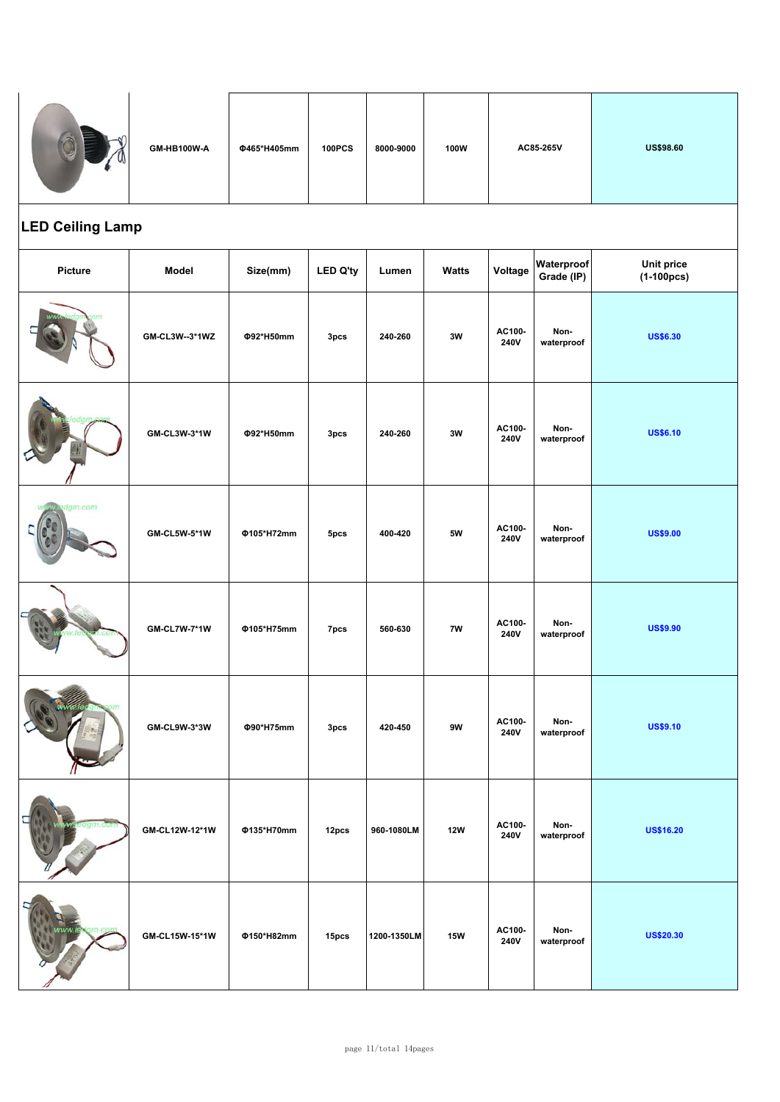|                         | GM-HB100W-A         | Φ465*H405mm | <b>100PCS</b>    | 8000-9000   | 100W         |                       | AC85-265V                | <b>US\$98.60</b>                  |
|-------------------------|---------------------|-------------|------------------|-------------|--------------|-----------------------|--------------------------|-----------------------------------|
| <b>LED Ceiling Lamp</b> |                     |             |                  |             |              |                       |                          |                                   |
| Picture                 | Model               | Size(mm)    | <b>LED Q'ty</b>  | Lumen       | <b>Watts</b> | Voltage               | Waterproof<br>Grade (IP) | <b>Unit price</b><br>$(1-100pcs)$ |
|                         | GM-CL3W--3*1WZ      | Φ92*H50mm   | 3pcs             | 240-260     | 3W           | AC100-<br>240V        | Non-<br>waterproof       | <b>US\$6.30</b>                   |
|                         | GM-CL3W-3*1W        | Φ92*H50mm   | 3 <sub>pcs</sub> | 240-260     | 3W           | AC100-<br><b>240V</b> | Non-<br>waterproof       | <b>US\$6.10</b>                   |
| am.com                  | <b>GM-CL5W-5*1W</b> | Φ105*H72mm  | 5pcs             | 400-420     | <b>5W</b>    | AC100-<br>240V        | Non-<br>waterproof       | <b>US\$9.00</b>                   |
|                         | <b>GM-CL7W-7*1W</b> | Φ105*H75mm  | 7pcs             | 560-630     | 7W           | AC100-<br>240V        | Non-<br>waterproof       | <b>US\$9.90</b>                   |
|                         | GM-CL9W-3*3W        | Φ90*H75mm   | 3pcs             | 420-450     | 9W           | AC100-<br>240V        | Non-<br>waterproof       | <b>US\$9.10</b>                   |
|                         | GM-CL12W-12*1W      | Φ135*H70mm  | 12pcs            | 960-1080LM  | <b>12W</b>   | AC100-<br><b>240V</b> | Non-<br>waterproof       | <b>US\$16.20</b>                  |
|                         | GM-CL15W-15*1W      | Φ150*H82mm  | 15pcs            | 1200-1350LM | <b>15W</b>   | AC100-<br>240V        | Non-<br>waterproof       | <b>US\$20.30</b>                  |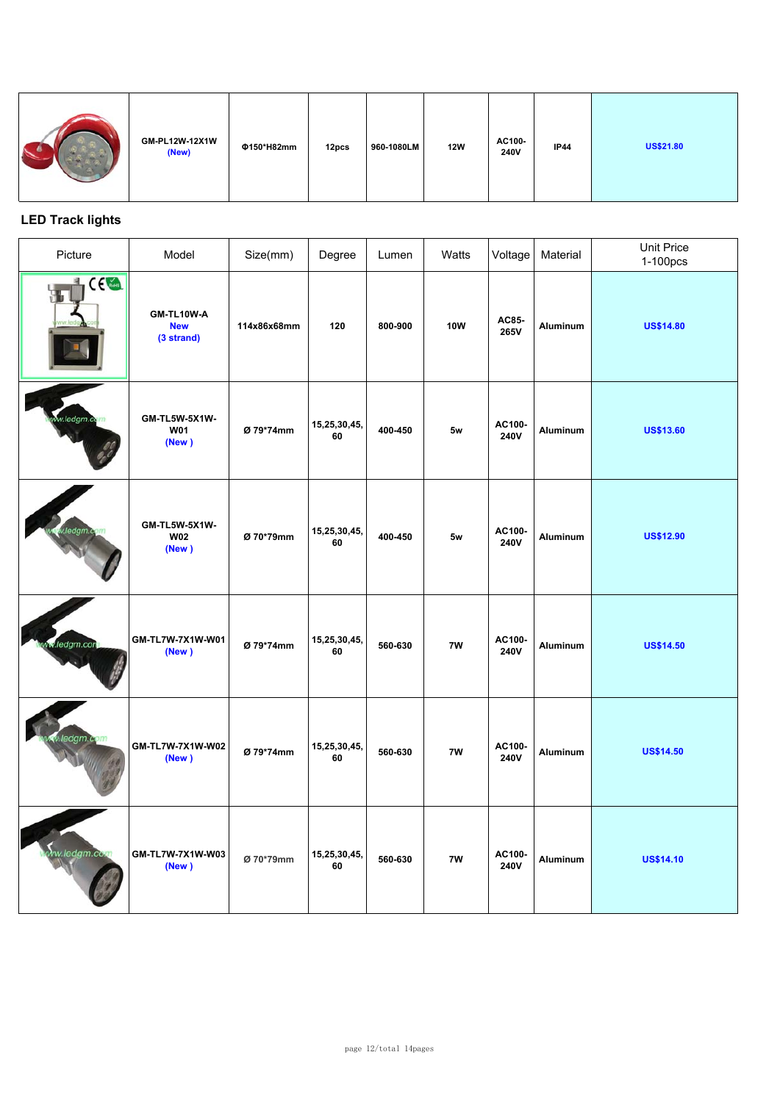| GM-PL12W-12X1W<br>(New) | Φ150*H82mm | 12pcs | 960-1080LM | <b>12W</b> | AC100-<br><b>240V</b> | <b>IP44</b> | <b>US\$21.80</b> |
|-------------------------|------------|-------|------------|------------|-----------------------|-------------|------------------|
|-------------------------|------------|-------|------------|------------|-----------------------|-------------|------------------|

### **LED Track lights**

| Picture         | Model                                  | Size(mm)    | Degree             | Lumen   | Watts      | Voltage               | Material | Unit Price<br>1-100pcs |
|-----------------|----------------------------------------|-------------|--------------------|---------|------------|-----------------------|----------|------------------------|
| IC <sub>4</sub> | GM-TL10W-A<br><b>New</b><br>(3 strand) | 114x86x68mm | 120                | 800-900 | <b>10W</b> | AC85-<br>265V         | Aluminum | <b>US\$14.80</b>       |
| w.ledgm.co      | GM-TL5W-5X1W-<br><b>W01</b><br>(New)   | Ø 79*74mm   | 15,25,30,45,<br>60 | 400-450 | 5w         | AC100-<br><b>240V</b> | Aluminum | <b>US\$13.60</b>       |
|                 | GM-TL5W-5X1W-<br><b>W02</b><br>(New)   | Ø 70*79mm   | 15,25,30,45,<br>60 | 400-450 | 5w         | AC100-<br><b>240V</b> | Aluminum | <b>US\$12.90</b>       |
| ledgm.com       | GM-TL7W-7X1W-W01<br>(New)              | Ø 79*74mm   | 15,25,30,45,<br>60 | 560-630 | 7W         | AC100-<br><b>240V</b> | Aluminum | <b>US\$14.50</b>       |
|                 | GM-TL7W-7X1W-W02<br>(New)              | Ø 79*74mm   | 15,25,30,45,<br>60 | 560-630 | 7W         | AC100-<br><b>240V</b> | Aluminum | <b>US\$14.50</b>       |
| w.ledgm.cox     | GM-TL7W-7X1W-W03<br>(New)              | Ø 70*79mm   | 15,25,30,45,<br>60 | 560-630 | 7W         | AC100-<br>240V        | Aluminum | <b>US\$14.10</b>       |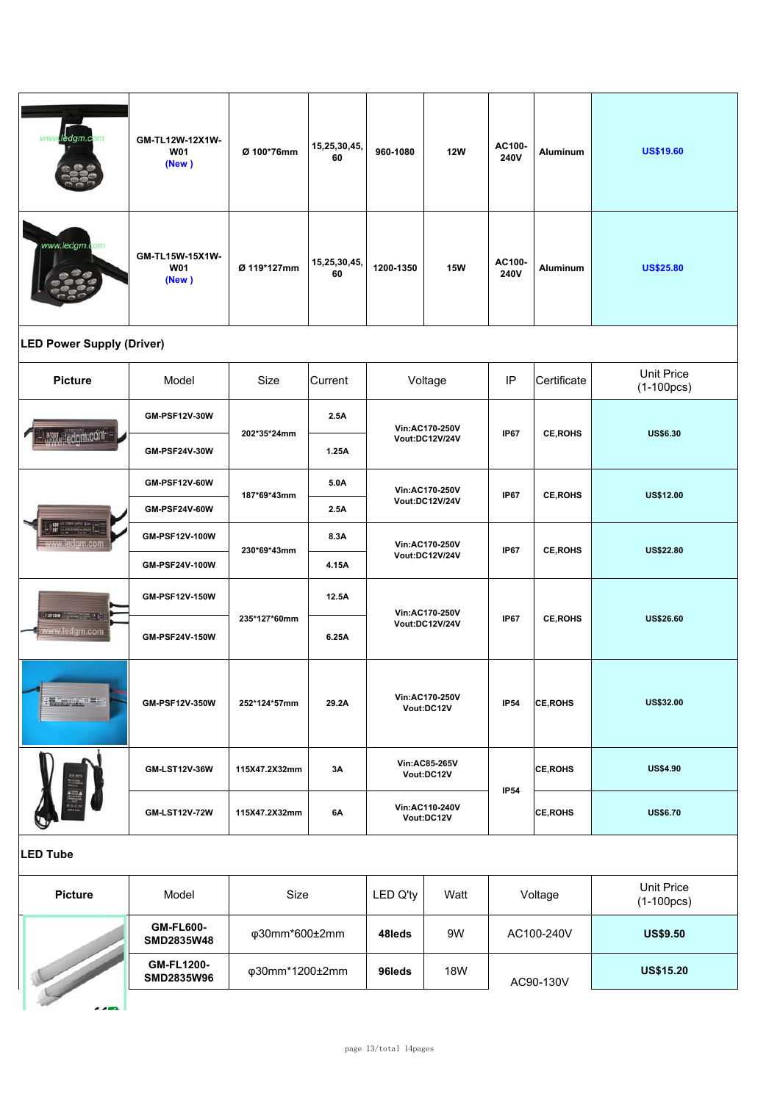| ledgm.com<br>ww                          | GM-TL12W-12X1W-<br><b>W01</b><br>(New) | Ø 100*76mm     | 15,25,30,45,<br>60 | 960-1080                    | <b>12W</b>                   | AC100-<br>240V   | Aluminum        | <b>US\$19.60</b>                  |
|------------------------------------------|----------------------------------------|----------------|--------------------|-----------------------------|------------------------------|------------------|-----------------|-----------------------------------|
| www.ledgm.com                            | GM-TL15W-15X1W-<br><b>W01</b><br>(New) | Ø 119*127mm    | 15,25,30,45,<br>60 | 1200-1350                   | <b>15W</b>                   | AC100-<br>240V   | <b>Aluminum</b> | <b>US\$25.80</b>                  |
| <b>LED Power Supply (Driver)</b>         |                                        |                |                    |                             |                              |                  |                 |                                   |
| <b>Picture</b>                           | Model                                  | Size           | Current            |                             | Voltage                      | IP               | Certificate     | <b>Unit Price</b><br>$(1-100pcs)$ |
|                                          | GM-PSF12V-30W                          | 202*35*24mm    | 2.5A               |                             | Vin:AC170-250V               | <b>IP67</b>      | <b>CE, ROHS</b> | <b>US\$6.30</b>                   |
| www.ledgm.com                            | GM-PSF24V-30W                          |                | 1.25A              |                             | Vout:DC12V/24V               |                  |                 |                                   |
|                                          | <b>GM-PSF12V-60W</b>                   | 187*69*43mm    | 5.0A               |                             | Vin:AC170-250V               | <b>IP67</b>      | <b>CE, ROHS</b> | US\$12.00                         |
|                                          | <b>GM-PSF24V-60W</b>                   |                | 2.5A               |                             | Vout:DC12V/24V               |                  |                 |                                   |
| <u>zww.ledgm.con</u>                     | GM-PSF12V-100W                         | 230*69*43mm    | 8.3A               | Vin:AC170-250V              |                              | <b>IP67</b>      | <b>CE, ROHS</b> | <b>US\$22.80</b>                  |
|                                          | GM-PSF24V-100W                         |                | 4.15A              |                             | Vout:DC12V/24V               |                  |                 |                                   |
| Sturmer (State of the State of the State | GM-PSF12V-150W                         |                | 12.5A              | Vin:AC170-250V              |                              | <b>IP67</b>      |                 |                                   |
| www.ledgm.com                            | GM-PSF24V-150W                         | 235*127*60mm   | 6.25A              | <b>Vout:DC12V/24V</b>       | <b>CE, ROHS</b>              | <b>US\$26.60</b> |                 |                                   |
| <b>Thermometer CELL</b>                  | GM-PSF12V-350W                         | 252*124*57mm   | 29.2A              |                             | Vin:AC170-250V<br>Vout:DC12V | <b>IP54</b>      | <b>CE, ROHS</b> | <b>US\$32.00</b>                  |
|                                          | GM-LST12V-36W                          | 115X47.2X32mm  | 3A                 | Vin:AC85-265V<br>Vout:DC12V |                              |                  | <b>CE, ROHS</b> | <b>US\$4.90</b>                   |
|                                          | <b>GM-LST12V-72W</b>                   | 115X47.2X32mm  | 6A                 |                             | Vin:AC110-240V<br>Vout:DC12V | <b>IP54</b>      | <b>CE, ROHS</b> | <b>US\$6.70</b>                   |
| <b>LED Tube</b>                          |                                        |                |                    |                             |                              |                  |                 |                                   |
| <b>Picture</b>                           | Model                                  | Size           |                    | LED Q'ty                    | Watt                         |                  | Voltage         | <b>Unit Price</b><br>$(1-100pcs)$ |
|                                          | <b>GM-FL600-</b><br>SMD2835W48         | φ30mm*600±2mm  |                    | 48leds                      | 9W                           | AC100-240V       |                 | <b>US\$9.50</b>                   |
|                                          | <b>GM-FL1200-</b><br>SMD2835W96        | φ30mm*1200±2mm |                    | 96leds                      | <b>18W</b>                   |                  | AC90-130V       | <b>US\$15.20</b>                  |
|                                          |                                        |                |                    |                             |                              |                  |                 |                                   |